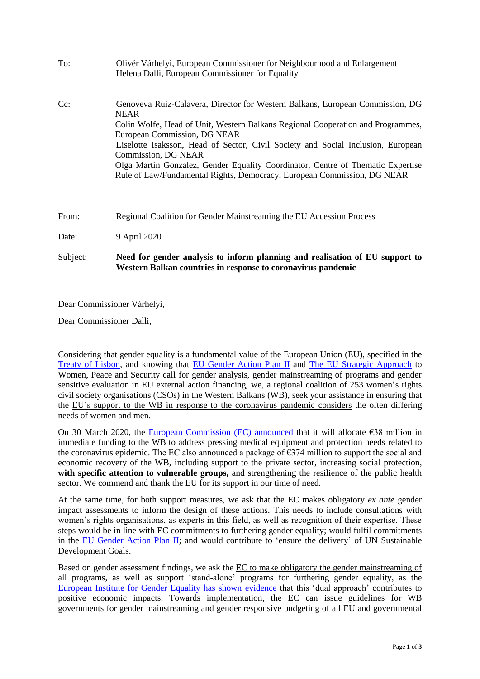| To:      | Olivér Várhelyi, European Commissioner for Neighbourhood and Enlargement<br>Helena Dalli, European Commissioner for Equality                                                                                                                                                                                                                                                                                                                                                             |
|----------|------------------------------------------------------------------------------------------------------------------------------------------------------------------------------------------------------------------------------------------------------------------------------------------------------------------------------------------------------------------------------------------------------------------------------------------------------------------------------------------|
| $Cc$ :   | Genoveva Ruiz-Calavera, Director for Western Balkans, European Commission, DG<br><b>NEAR</b><br>Colin Wolfe, Head of Unit, Western Balkans Regional Cooperation and Programmes,<br>European Commission, DG NEAR<br>Liselotte Isaksson, Head of Sector, Civil Society and Social Inclusion, European<br>Commission, DG NEAR<br>Olga Martin Gonzalez, Gender Equality Coordinator, Centre of Thematic Expertise<br>Rule of Law/Fundamental Rights, Democracy, European Commission, DG NEAR |
| From:    | Regional Coalition for Gender Mainstreaming the EU Accession Process                                                                                                                                                                                                                                                                                                                                                                                                                     |
| Date:    | 9 April 2020                                                                                                                                                                                                                                                                                                                                                                                                                                                                             |
| Subject: | Need for gender analysis to inform planning and realisation of EU support to<br>Western Balkan countries in response to coronavirus pandemic                                                                                                                                                                                                                                                                                                                                             |

Dear Commissioner Várhelyi,

Dear Commissioner Dalli,

Considering that gender equality is a fundamental value of the European Union (EU), specified in the [Treaty of Lisbon,](https://eur-lex.europa.eu/LexUriServ/LexUriServ.do?uri=OJ:C:2007:306:FULL:EN:PDF) and knowing that [EU Gender Action Plan II](https://www.consilium.europa.eu/media/24467/st13201-en15.pdf) and [The EU Strategic Approach](https://www.consilium.europa.eu/media/37412/st15086-en18.pdf) to Women, Peace and Security call for gender analysis, gender mainstreaming of programs and gender sensitive evaluation in EU external action financing, we, a regional coalition of 253 women's rights civil society organisations (CSOs) in the Western Balkans (WB), seek your assistance in ensuring that the EU's support to the WB in response to the coronavirus pandemic considers the often differing needs of women and men.

On 30 March 2020, the [European Commission](https://ec.europa.eu/commission/presscorner/detail/en/ip_20_561) (EC) announced that it will allocate  $\epsilon$ 38 million in immediate funding to the WB to address pressing medical equipment and protection needs related to the coronavirus epidemic. The EC also announced a package of  $\epsilon$ 374 million to support the social and economic recovery of the WB, including support to the private sector, increasing social protection, **with specific attention to vulnerable groups,** and strengthening the resilience of the public health sector. We commend and thank the EU for its support in our time of need.

At the same time, for both support measures, we ask that the EC makes obligatory *ex ante* gender impact assessments to inform the design of these actions. This needs to include consultations with women's rights organisations, as experts in this field, as well as recognition of their expertise. These steps would be in line with EC commitments to furthering gender equality; would fulfil commitments in the [EU Gender Action Plan II;](https://www.consilium.europa.eu/media/24467/st13201-en15.pdf) and would contribute to 'ensure the delivery' of UN Sustainable Development Goals.

Based on gender assessment findings, we ask the EC to make obligatory the gender mainstreaming of all programs, as well as support 'stand-alone' programs for furthering gender equality, as the European Institute for Gender Equality has shown [evidence](https://eige.europa.eu/publications/gender-budgeting-mainstreaming-gender-eu-budget-and-macroeconomic-policy-framework) that this 'dual approach' contributes to positive economic impacts. Towards implementation, the EC can issue guidelines for WB governments for gender mainstreaming and gender responsive budgeting of all EU and governmental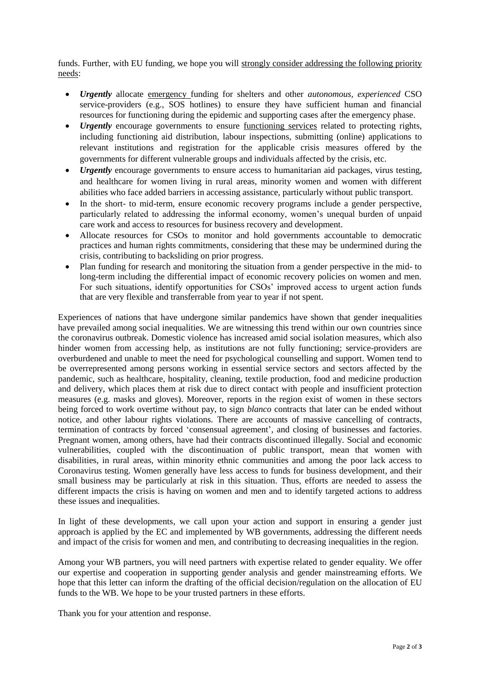funds. Further, with EU funding, we hope you will strongly consider addressing the following priority needs:

- *Urgently* allocate emergency funding for shelters and other *autonomous, experienced* CSO service-providers (e.g., SOS hotlines) to ensure they have sufficient human and financial resources for functioning during the epidemic and supporting cases after the emergency phase.
- *Urgently* encourage governments to ensure <u>functioning services</u> related to protecting rights, including functioning aid distribution, labour inspections, submitting (online) applications to relevant institutions and registration for the applicable crisis measures offered by the governments for different vulnerable groups and individuals affected by the crisis, etc.
- *Urgently* encourage governments to ensure access to humanitarian aid packages, virus testing, and healthcare for women living in rural areas, minority women and women with different abilities who face added barriers in accessing assistance, particularly without public transport.
- In the short- to mid-term, ensure economic recovery programs include a gender perspective, particularly related to addressing the informal economy, women's unequal burden of unpaid care work and access to resources for business recovery and development.
- Allocate resources for CSOs to monitor and hold governments accountable to democratic practices and human rights commitments, considering that these may be undermined during the crisis, contributing to backsliding on prior progress.
- Plan funding for research and monitoring the situation from a gender perspective in the mid- to long-term including the differential impact of economic recovery policies on women and men. For such situations, identify opportunities for CSOs' improved access to urgent action funds that are very flexible and transferrable from year to year if not spent.

Experiences of nations that have undergone similar pandemics have shown that gender inequalities have prevailed among social inequalities. We are witnessing this trend within our own countries since the coronavirus outbreak. Domestic violence has increased amid social isolation measures, which also hinder women from accessing help, as institutions are not fully functioning; service-providers are overburdened and unable to meet the need for psychological counselling and support. Women tend to be overrepresented among persons working in essential service sectors and sectors affected by the pandemic, such as healthcare, hospitality, cleaning, textile production, food and medicine production and delivery, which places them at risk due to direct contact with people and insufficient protection measures (e.g. masks and gloves). Moreover, reports in the region exist of women in these sectors being forced to work overtime without pay, to sign *blanco* contracts that later can be ended without notice, and other labour rights violations. There are accounts of massive cancelling of contracts, termination of contracts by forced 'consensual agreement', and closing of businesses and factories. Pregnant women, among others, have had their contracts discontinued illegally. Social and economic vulnerabilities, coupled with the discontinuation of public transport, mean that women with disabilities, in rural areas, within minority ethnic communities and among the poor lack access to Coronavirus testing. Women generally have less access to funds for business development, and their small business may be particularly at risk in this situation. Thus, efforts are needed to assess the different impacts the crisis is having on women and men and to identify targeted actions to address these issues and inequalities.

In light of these developments, we call upon your action and support in ensuring a gender just approach is applied by the EC and implemented by WB governments, addressing the different needs and impact of the crisis for women and men, and contributing to decreasing inequalities in the region.

Among your WB partners, you will need partners with expertise related to gender equality. We offer our expertise and cooperation in supporting gender analysis and gender mainstreaming efforts. We hope that this letter can inform the drafting of the official decision/regulation on the allocation of EU funds to the WB. We hope to be your trusted partners in these efforts.

Thank you for your attention and response.